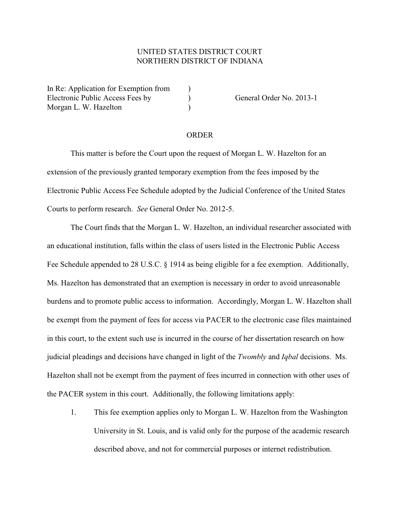## UNITED STATES DISTRICT COURT NORTHERN DISTRICT OF INDIANA

In Re: Application for Exemption from  $\qquad$ ) Electronic Public Access Fees by (a) General Order No. 2013-1 Morgan L. W. Hazelton (1998)

## ORDER

This matter is before the Court upon the request of Morgan L. W. Hazelton for an extension of the previously granted temporary exemption from the fees imposed by the Electronic Public Access Fee Schedule adopted by the Judicial Conference of the United States Courts to perform research. *See* General Order No. 2012-5.

The Court finds that the Morgan L. W. Hazelton, an individual researcher associated with an educational institution, falls within the class of users listed in the Electronic Public Access Fee Schedule appended to 28 U.S.C. § 1914 as being eligible for a fee exemption. Additionally, Ms. Hazelton has demonstrated that an exemption is necessary in order to avoid unreasonable burdens and to promote public access to information. Accordingly, Morgan L. W. Hazelton shall be exempt from the payment of fees for access via PACER to the electronic case files maintained in this court, to the extent such use is incurred in the course of her dissertation research on how judicial pleadings and decisions have changed in light of the *Twombly* and *Iqbal* decisions. Ms. Hazelton shall not be exempt from the payment of fees incurred in connection with other uses of the PACER system in this court. Additionally, the following limitations apply:

1. This fee exemption applies only to Morgan L. W. Hazelton from the Washington University in St. Louis, and is valid only for the purpose of the academic research described above, and not for commercial purposes or internet redistribution.